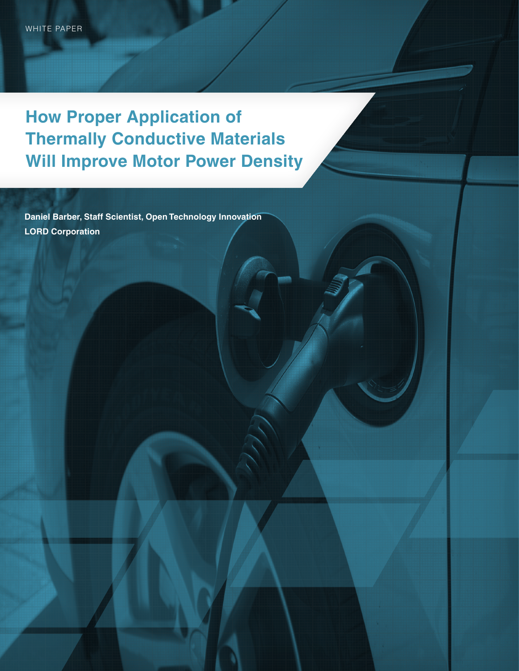**How Proper Application of Thermally Conductive Materials Will Improve Motor Power Density**

**Daniel Barber, Staff Scientist, Open Technology Innovation LORD Corporation**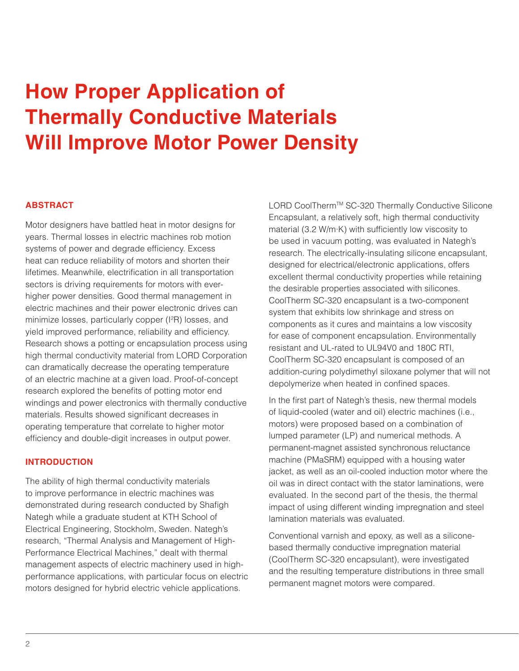# **How Proper Application of Thermally Conductive Materials Will Improve Motor Power Density**

## **ABSTRACT**

Motor designers have battled heat in motor designs for years. Thermal losses in electric machines rob motion systems of power and degrade efficiency. Excess heat can reduce reliability of motors and shorten their lifetimes. Meanwhile, electrification in all transportation sectors is driving requirements for motors with everhigher power densities. Good thermal management in electric machines and their power electronic drives can minimize losses, particularly copper (I<sup>2</sup>R) losses, and yield improved performance, reliability and efficiency. Research shows a potting or encapsulation process using high thermal conductivity material from LORD Corporation can dramatically decrease the operating temperature of an electric machine at a given load. Proof-of-concept research explored the benefits of potting motor end windings and power electronics with thermally conductive materials. Results showed significant decreases in operating temperature that correlate to higher motor efficiency and double-digit increases in output power.

### **INTRODUCTION**

The ability of high thermal conductivity materials to improve performance in electric machines was demonstrated during research conducted by Shafigh Nategh while a graduate student at KTH School of Electrical Engineering, Stockholm, Sweden. Nategh's research, "Thermal Analysis and Management of High-Performance Electrical Machines," dealt with thermal management aspects of electric machinery used in highperformance applications, with particular focus on electric motors designed for hybrid electric vehicle applications.

LORD CoolTherm™ SC-320 Thermally Conductive Silicone Encapsulant, a relatively soft, high thermal conductivity material (3.2 W/m∙K) with sufficiently low viscosity to be used in vacuum potting, was evaluated in Nategh's research. The electrically-insulating silicone encapsulant, designed for electrical/electronic applications, offers excellent thermal conductivity properties while retaining the desirable properties associated with silicones. CoolTherm SC-320 encapsulant is a two-component system that exhibits low shrinkage and stress on components as it cures and maintains a low viscosity for ease of component encapsulation. Environmentally resistant and UL-rated to UL94V0 and 180C RTI, CoolTherm SC-320 encapsulant is composed of an addition-curing polydimethyl siloxane polymer that will not depolymerize when heated in confined spaces.

In the first part of Nategh's thesis, new thermal models of liquid-cooled (water and oil) electric machines (i.e., motors) were proposed based on a combination of lumped parameter (LP) and numerical methods. A permanent-magnet assisted synchronous reluctance machine (PMaSRM) equipped with a housing water jacket, as well as an oil-cooled induction motor where the oil was in direct contact with the stator laminations, were evaluated. In the second part of the thesis, the thermal impact of using different winding impregnation and steel lamination materials was evaluated.

Conventional varnish and epoxy, as well as a siliconebased thermally conductive impregnation material (CoolTherm SC-320 encapsulant), were investigated and the resulting temperature distributions in three small permanent magnet motors were compared.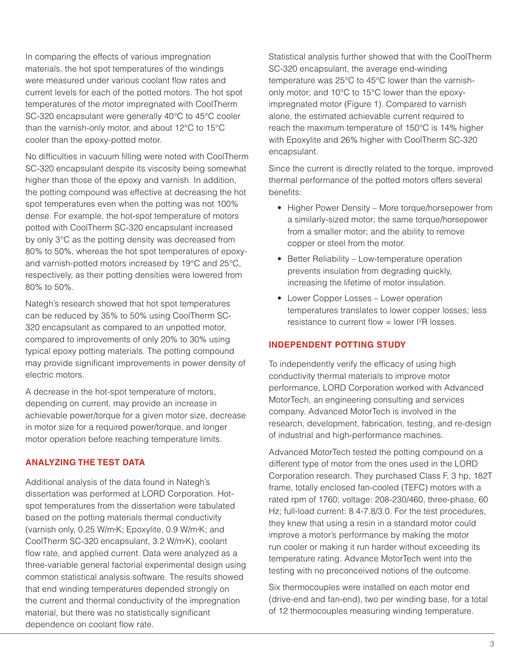In comparing the effects of various impregnation materials, the hot spot temperatures of the windings were measured under various coolant flow rates and current levels for each of the potted motors. The hot spot temperatures of the motor impregnated with CoolTherm SC-320 encapsulant were generally 40°C to 45°C cooler than the varnish-only motor, and about 12°C to 15°C cooler than the epoxy-potted motor.

No difficulties in vacuum filling were noted with CoolTherm SC-320 encapsulant despite its viscosity being somewhat higher than those of the epoxy and varnish. In addition, the potting compound was effective at decreasing the hot spot temperatures even when the potting was not 100% dense. For example, the hot-spot temperature of motors potted with CoolTherm SC-320 encapsulant increased by only 3°C as the potting density was decreased from 80% to 50%, whereas the hot spot temperatures of epoxyand varnish-potted motors increased by 19°C and 25°C, respectively, as their potting densities were lowered from 80% to 50%.

Nategh's research showed that hot spot temperatures can be reduced by 35% to 50% using CoolTherm SC-320 encapsulant as compared to an unpotted motor, compared to improvements of only 20% to 30% using typical epoxy potting materials. The potting compound may provide significant improvements in power density of electric motors.

A decrease in the hot-spot temperature of motors, depending on current, may provide an increase in achievable power/torque for a given motor size, decrease in motor size for a required power/torque, and longer motor operation before reaching temperature limits.

### **ANALYZING THE TEST DATA**

Additional analysis of the data found in Nategh's dissertation was performed at LORD Corporation. Hotspot temperatures from the dissertation were tabulated based on the potting materials thermal conductivity (varnish only, 0.25 W/m•K; Epoxylite, 0.9 W/m•K; and CoolTherm SC-320 encapsulant, 3.2 W/m•K), coolant flow rate, and applied current. Data were analyzed as a three-variable general factorial experimental design using common statistical analysis software. The results showed that end winding temperatures depended strongly on the current and thermal conductivity of the impregnation material, but there was no statistically significant dependence on coolant flow rate.

Statistical analysis further showed that with the CoolTherm SC-320 encapsulant, the average end-winding temperature was 25°C to 45°C lower than the varnishonly motor; and 10°C to 15°C lower than the epoxyimpregnated motor (Figure 1). Compared to varnish alone, the estimated achievable current required to reach the maximum temperature of 150°C is 14% higher with Epoxylite and 26% higher with CoolTherm SC-320 encapsulant.

Since the current is directly related to the torque, improved thermal performance of the potted motors offers several benefits:

- Higher Power Density More torque/horsepower from a similarly-sized motor; the same torque/horsepower from a smaller motor; and the ability to remove copper or steel from the motor.
- Better Reliability Low-temperature operation prevents insulation from degrading quickly, increasing the lifetime of motor insulation.
- Lower Copper Losses Lower operation temperatures translates to lower copper losses; less resistance to current flow  $=$  lower I<sup>2</sup>R losses.

#### **INDEPENDENT POTTING STUDY**

To independently verify the efficacy of using high conductivity thermal materials to improve motor performance, LORD Corporation worked with Advanced MotorTech, an engineering consulting and services company. Advanced MotorTech is involved in the research, development, fabrication, testing, and re-design of industrial and high-performance machines.

Advanced MotorTech tested the potting compound on a different type of motor from the ones used in the LORD Corporation research. They purchased Class F, 3 hp, 182T frame, totally enclosed fan-cooled (TEFC) motors with a rated rpm of 1760; voltage: 208-230/460, three-phase, 60 Hz; full-load current: 8.4-7.8/3.0. For the test procedures, they knew that using a resin in a standard motor could improve a motor's performance by making the motor run cooler or making it run harder without exceeding its temperature rating. Advance MotorTech went into the testing with no preconceived notions of the outcome.

Six thermocouples were installed on each motor end (drive-end and fan-end), two per winding base, for a total of 12 thermocouples measuring winding temperature.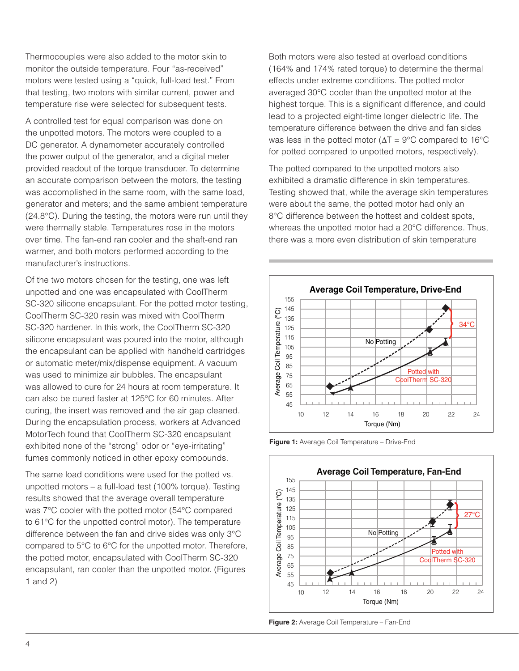Thermocouples were also added to the motor skin to monitor the outside temperature. Four "as-received" motors were tested using a "quick, full-load test." From that testing, two motors with similar current, power and temperature rise were selected for subsequent tests.

A controlled test for equal comparison was done on the unpotted motors. The motors were coupled to a DC generator. A dynamometer accurately controlled the power output of the generator, and a digital meter provided readout of the torque transducer. To determine an accurate comparison between the motors, the testing was accomplished in the same room, with the same load, generator and meters; and the same ambient temperature (24.8°C). During the testing, the motors were run until they were thermally stable. Temperatures rose in the motors over time. The fan-end ran cooler and the shaft-end ran warmer, and both motors performed according to the manufacturer's instructions.

Of the two motors chosen for the testing, one was left unpotted and one was encapsulated with CoolTherm SC-320 silicone encapsulant. For the potted motor testing, CoolTherm SC-320 resin was mixed with CoolTherm SC-320 hardener. In this work, the CoolTherm SC-320 silicone encapsulant was poured into the motor, although the encapsulant can be applied with handheld cartridges or automatic meter/mix/dispense equipment. A vacuum was used to minimize air bubbles. The encapsulant was allowed to cure for 24 hours at room temperature. It can also be cured faster at 125°C for 60 minutes. After curing, the insert was removed and the air gap cleaned. During the encapsulation process, workers at Advanced MotorTech found that CoolTherm SC-320 encapsulant exhibited none of the "strong" odor or "eye-irritating" fumes commonly noticed in other epoxy compounds.

The same load conditions were used for the potted vs. unpotted motors – a full-load test (100% torque). Testing results showed that the average overall temperature was 7°C cooler with the potted motor (54°C compared to 61°C for the unpotted control motor). The temperature difference between the fan and drive sides was only 3°C compared to 5°C to 6°C for the unpotted motor. Therefore, the potted motor, encapsulated with CoolTherm SC-320 encapsulant, ran cooler than the unpotted motor. (Figures 1 and 2)

Both motors were also tested at overload conditions (164% and 174% rated torque) to determine the thermal effects under extreme conditions. The potted motor averaged 30°C cooler than the unpotted motor at the highest torque. This is a significant difference, and could lead to a projected eight-time longer dielectric life. The temperature difference between the drive and fan sides was less in the potted motor ( $\Delta T = 9^{\circ}C$  compared to 16°C for potted compared to unpotted motors, respectively).

The potted compared to the unpotted motors also exhibited a dramatic difference in skin temperatures. Testing showed that, while the average skin temperatures were about the same, the potted motor had only an 8°C difference between the hottest and coldest spots, whereas the unpotted motor had a 20°C difference. Thus, there was a more even distribution of skin temperature



**Figure 1:** Average Coil Temperature – Drive-End



**Figure 2:** Average Coil Temperature – Fan-End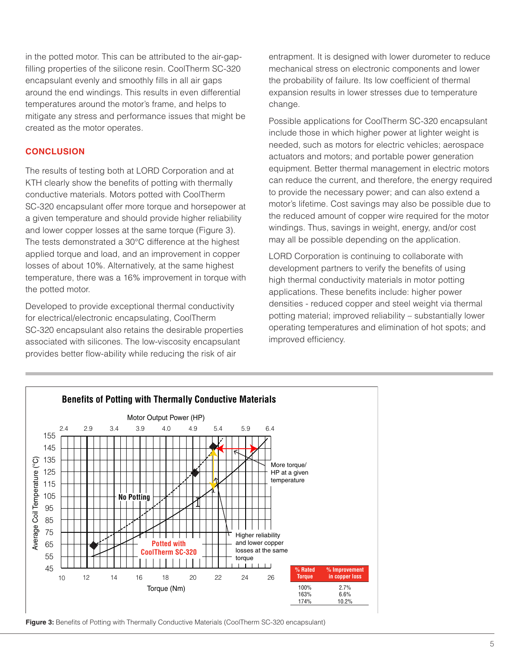in the potted motor. This can be attributed to the air-gapfilling properties of the silicone resin. CoolTherm SC-320 encapsulant evenly and smoothly fills in all air gaps around the end windings. This results in even differential temperatures around the motor's frame, and helps to mitigate any stress and performance issues that might be created as the motor operates.

## **CONCLUSION**

The results of testing both at LORD Corporation and at KTH clearly show the benefits of potting with thermally conductive materials. Motors potted with CoolTherm SC-320 encapsulant offer more torque and horsepower at a given temperature and should provide higher reliability and lower copper losses at the same torque (Figure 3). The tests demonstrated a 30°C difference at the highest applied torque and load, and an improvement in copper losses of about 10%. Alternatively, at the same highest temperature, there was a 16% improvement in torque with the potted motor.

Developed to provide exceptional thermal conductivity for electrical/electronic encapsulating, CoolTherm SC-320 encapsulant also retains the desirable properties associated with silicones. The low-viscosity encapsulant provides better flow-ability while reducing the risk of air

entrapment. It is designed with lower durometer to reduce mechanical stress on electronic components and lower the probability of failure. Its low coefficient of thermal expansion results in lower stresses due to temperature change.

Possible applications for CoolTherm SC-320 encapsulant include those in which higher power at lighter weight is needed, such as motors for electric vehicles; aerospace actuators and motors; and portable power generation equipment. Better thermal management in electric motors can reduce the current, and therefore, the energy required to provide the necessary power; and can also extend a motor's lifetime. Cost savings may also be possible due to the reduced amount of copper wire required for the motor windings. Thus, savings in weight, energy, and/or cost may all be possible depending on the application.

LORD Corporation is continuing to collaborate with development partners to verify the benefits of using high thermal conductivity materials in motor potting applications. These benefits include: higher power densities - reduced copper and steel weight via thermal potting material; improved reliability – substantially lower operating temperatures and elimination of hot spots; and improved efficiency.